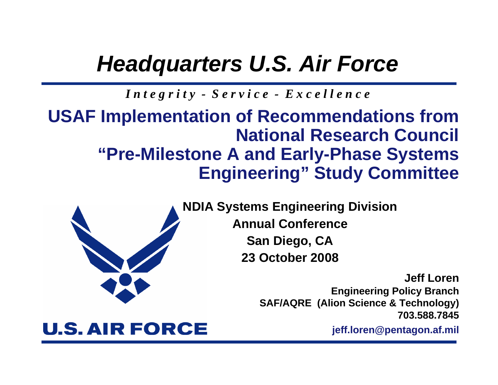# *Headquarters U.S. Air Force*

*I n t e g r i t y - S e r v i c e - E x c e l l e n c e*

### **USAF Implementation of Recommendations from National Research Council "Pre-Milestone A and Early-Phase Systems Engineering" Study Committee**



**NDIA Systems Engineering Division Annual Conference**

**San Diego, CA 23 October 2008**

> **Jeff LorenEngineering Policy Branch SAF/AQRE (Alion Science & Technology) 703.588.7845**

#### **jeff.loren@pentagon.af.mil**

### **U.S. AIR FORCE**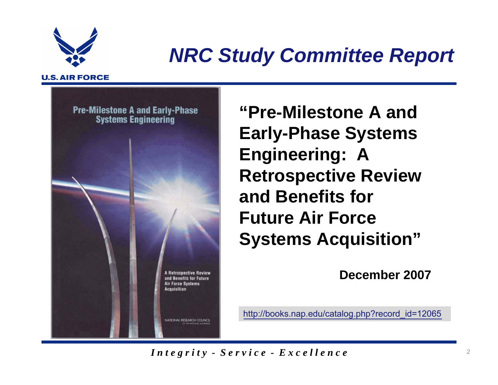

# *NRC Study Committee Report*

#### **U.S. AIR FORCE**



**"Pre-Milestone A and Early-Phase Systems Engineering: A Retrospective Review and Benefits for Future Air Force Systems Acquisition"**

**December 2007**

http://books.nap.edu/catalog.php?record\_id=12065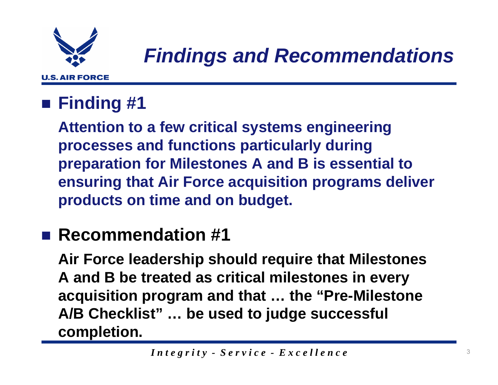

### **Finding #1**

**Attention to a few critical systems engineering processes and functions particularly during preparation for Milestones A and B is essential to ensuring that Air Force acquisition programs deliver products on time and on budget.**

### ■ Recommendation #1

**Air Force leadership should require that Milestones A and B be treated as critical milestones in every acquisition program and that … the "Pre-Milestone A/B Checklist" … be used to judge successful completion.**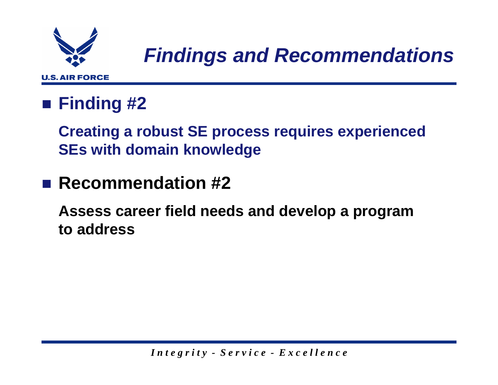

### **Finding #2**

**Creating a robust SE process requires experienced SEs with domain knowledge**

### ■ Recommendation #2

**Assess career field needs and develop a program to address**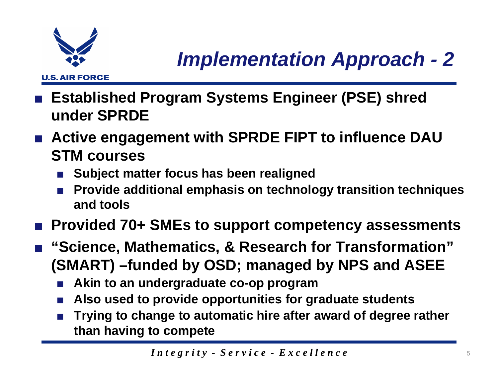

- ■ **Established Program Systems Engineer (PSE) shred under SPRDE**
- Active engagement with **SPRDE FIPT** to influence DAU **STM courses**
	- ■**Subject matter focus has been realigned**
	- ■ **Provide additional emphasis on technology transition techniques and tools**
- ■**Provided 70+ SMEs to support competency assessments**
- "Science, Mathematics, & Research for Transformation" **(SMART) –funded by OSD; managed by NPS and ASEE**
	- **Akin to an undergraduate co-op program**
	- **Also used to provide opportunities for graduate students**
	- ■ **Trying to change to automatic hire after award of degree rather than having to compete**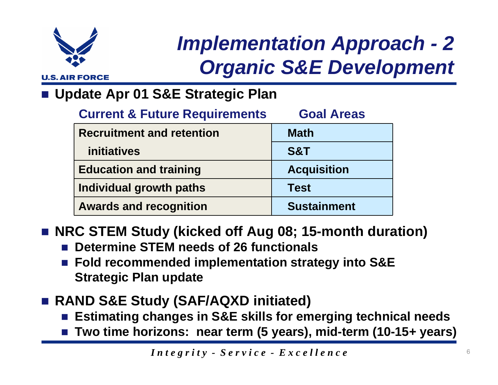

# *Implementation Approach - 2 Organic S&E Development*

#### F. **Update Apr 01 S&E Strategic Plan**

| <b>Current &amp; Future Requirements</b> | <b>Goal Areas</b>  |
|------------------------------------------|--------------------|
| <b>Recruitment and retention</b>         | <b>Math</b>        |
| <i>initiatives</i>                       | <b>S&amp;T</b>     |
| <b>Education and training</b>            | <b>Acquisition</b> |
| Individual growth paths                  | <b>Test</b>        |
| <b>Awards and recognition</b>            | <b>Sustainment</b> |

### **NRC STEM Study (kicked off Aug 08; 15-month duration)**

- $\mathcal{L}_{\mathcal{A}}$ **Determine STEM needs of 26 functionals**
- Fold recommended implementation strategy into S&E **Strategic Plan update**
- **RAND S&E Study (SAF/AQXD initiated)**
	- **Estimating changes in S&E skills for emerging technical needs**
	- **Two time horizons: near term (5 years), mid-term (10-15+ years)**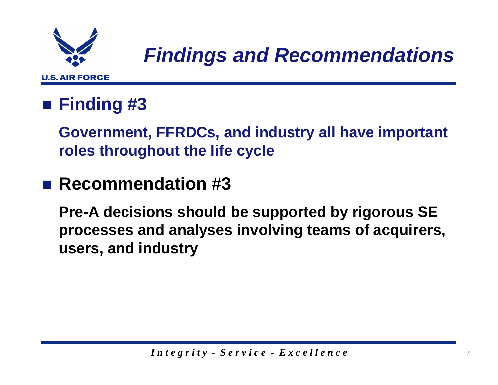

### **Finding #3**

**Government, FFRDCs, and industry all have important roles throughout the life cycle**

### ■ Recommendation #3

**Pre-A decisions should be supported by rigorous SE processes and analyses involving teams of acquirers, users, and industry**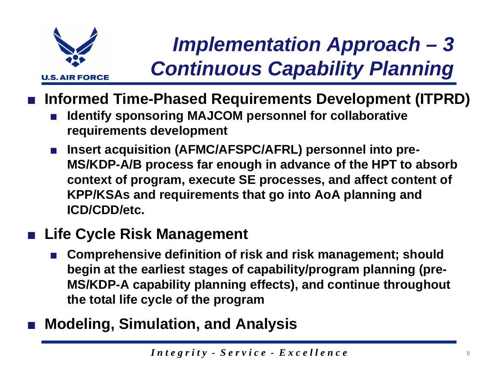

# *Implementation Approach – 3 Continuous Capability Planning*

- **Informed Time-Phased Requirements Development (ITPRD)**
	- ■ **Identify sponsoring MAJCOM personnel for collaborative requirements development**
	- ■ **Insert acquisition (AFMC/AFSPC/AFRL) personnel into pre-MS/KDP-A/B process far enough in advance of the HPT to absorb context of program, execute SE processes, and affect content of KPP/KSAs and requirements that go into AoA planning and ICD/CDD/etc.**

### **Life Cycle Risk Management**

- ■ **Comprehensive definition of risk and risk management; should begin at the earliest stages of capability/program planning (pre-MS/KDP-A capability planning effects), and continue throughout the total life cycle of the program**
- **Modeling, Simulation, and Analysis**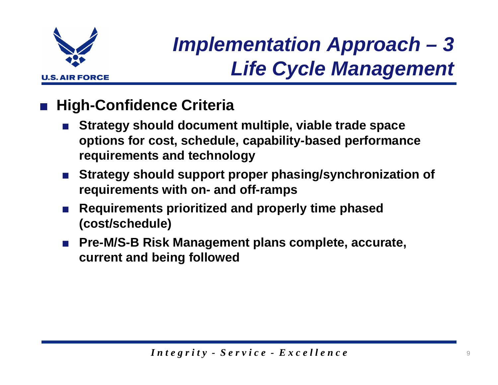

# *Implementation Approach – 3 Life Cycle Management*

#### ■**High-Confidence Criteria**

- **Strategy should document multiple, viable trade space options for cost, schedule, capability-based performance requirements and technology**
- Strategy should support proper phasing/synchronization of **requirements with on- and off-ramps**
- **Requirements prioritized and properly time phased (cost/schedule)**
- ■ **Pre-M/S-B Risk Management plans complete, accurate, current and being followed**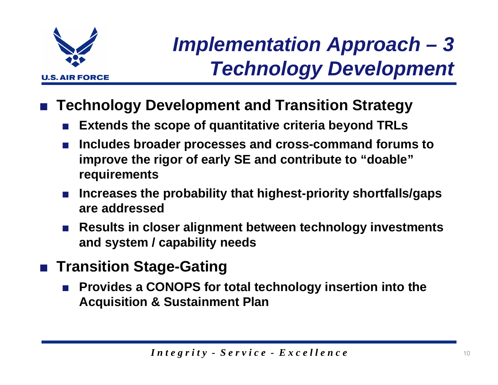

# *Implementation Approach – 3 Technology Development*

- ■ **Technology Development and Transition Strategy**
	- **Extends the scope of quantitative criteria beyond TRLs**
	- **Includes broader processes and cross-command forums to improve the rigor of early SE and contribute to "doable" requirements**
	- **Increases the probability that highest-priority shortfalls/gaps are addressed**
	- **Results in closer alignment between technology investments and system / capability needs**
- **Transition Stage-Gating**
	- ■ **Provides a CONOPS for total technology insertion into the Acquisition & Sustainment Plan**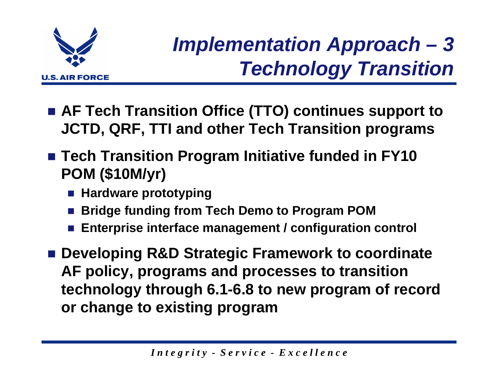

# *Implementation Approach – 3 Technology Transition*

- **AF Tech Transition Office (TTO) continues support to JCTD, QRF, TTI and other Tech Transition programs**
- **Tech Transition Program Initiative funded in FY10 POM (\$10M/yr)**
	- **Hardware prototyping**
	- F. **Bridge funding from Tech Demo to Program POM**
	- g) **Enterprise interface management / configuration control**
- Developing R&D Strategic Framework to coordinate **AF policy, programs and processes to transition technology through 6.1-6.8 to new program of record or change to existing program**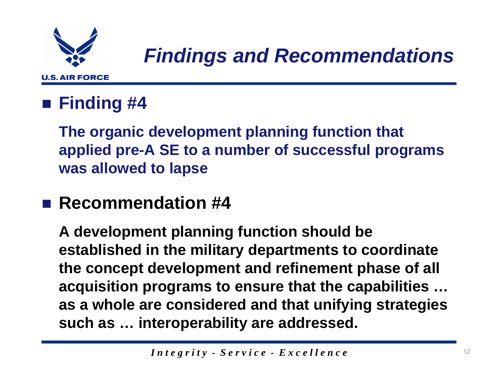

### **Finding #4**

**The organic development planning function that applied pre-A SE to a number of successful programs was allowed to lapse**

### **■ Recommendation #4**

**A development planning function should be established in the military departments to coordinate the concept development and refinement phase of all acquisition programs to ensure that the capabilities … as a whole are considered and that unifying strategies such as … interoperability are addressed.**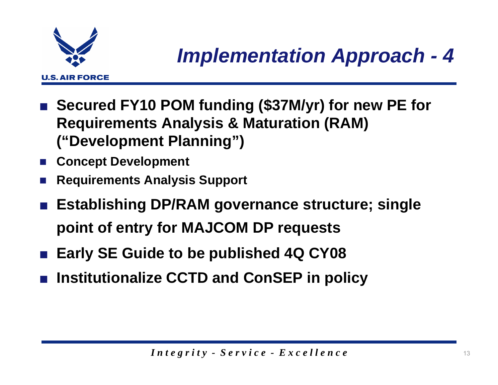

- Secured FY10 POM funding (\$37M/yr) for new PE for **Requirements Analysis & Maturation (RAM) ("Development Planning")**
- **Concept Development**
- $\overline{\phantom{a}}$ **Requirements Analysis Support**
- ■ **Establishing DP/RAM governance structure; single point of entry for MAJCOM DP requests**
- Early SE Guide to be published 4Q CY08
- ■**Institutionalize CCTD and ConSEP in policy**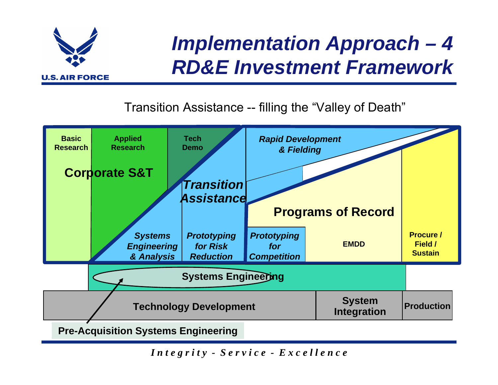

# *Implementation Approach – 4 RD&E Investment Framework*

### Transition Assistance -- filling the "Valley of Death"

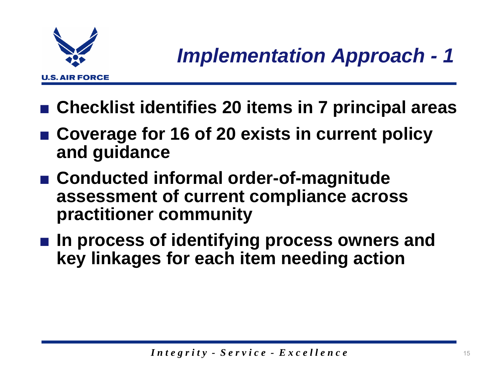

- Checklist identifies 20 items in 7 principal areas
- Coverage for 16 of 20 exists in current policy **and guidance**
- **Conducted informal order-of-magnitude assessment of current compliance across practitioner community**
- In process of identifying process owners and **key linkages for each item needing action**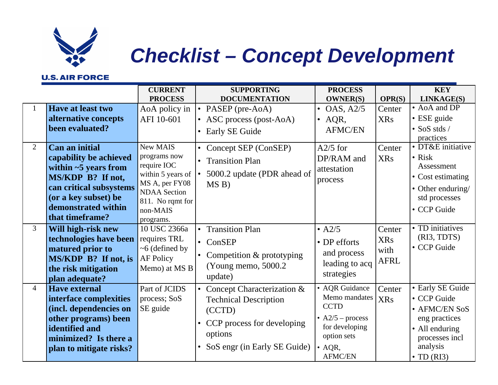

# *Checklist – Concept Development*

#### **U.S. AIR FORCE**

|                                |                                                                                                                                                                                                                                                          | <b>CURRENT</b><br><b>PROCESS</b>                                                                                                                                     | <b>SUPPORTING</b><br><b>DOCUMENTATION</b>                                                                                                                                                      | <b>PROCESS</b><br><b>OWNER(S)</b>                                                                                                         | OPR(S)                                       | <b>KEY</b><br>LINKAGE(S)                                                                                                                                                                        |
|--------------------------------|----------------------------------------------------------------------------------------------------------------------------------------------------------------------------------------------------------------------------------------------------------|----------------------------------------------------------------------------------------------------------------------------------------------------------------------|------------------------------------------------------------------------------------------------------------------------------------------------------------------------------------------------|-------------------------------------------------------------------------------------------------------------------------------------------|----------------------------------------------|-------------------------------------------------------------------------------------------------------------------------------------------------------------------------------------------------|
| $\mathbf{1}$<br>$\overline{2}$ | Have at least two<br>alternative concepts<br>been evaluated?<br>Can an initial<br>capability be achieved<br>within $\sim$ 5 years from<br>MS/KDP B? If not,<br>can critical subsystems<br>(or a key subset) be<br>demonstrated within<br>that timeframe? | AoA policy in<br>AFI 10-601<br>New MAIS<br>programs now<br>require IOC<br>within 5 years of<br>MS A, per FY08<br><b>NDAA</b> Section<br>811. No rqmt for<br>non-MAIS | PASEP (pre-AoA)<br>• ASC process (post-AoA)<br>Early SE Guide<br>$\bullet$<br>Concept SEP (ConSEP)<br>$\bullet$<br><b>Transition Plan</b><br>$\bullet$<br>5000.2 update (PDR ahead of<br>MS B) | <b>OAS, A2/5</b><br>$\bullet$<br>$\bullet$ AQR,<br><b>AFMC/EN</b><br>$A2/5$ for<br>DP/RAM and<br>attestation<br>process                   | Center<br><b>XRs</b><br>Center<br><b>XRs</b> | • AoA and DP<br>• ESE guide<br>$\bullet$ SoS stds /<br>practices<br>· DT&E initiative<br>$\bullet$ Risk<br>Assessment<br>• Cost estimating<br>• Other enduring/<br>std processes<br>• CCP Guide |
| 3                              | Will high-risk new<br>technologies have been<br>matured prior to<br>MS/KDP B? If not, is<br>the risk mitigation<br>plan adequate?                                                                                                                        | programs.<br>10 USC 2366a<br>requires TRL<br>$~6$ (defined by<br><b>AF Policy</b><br>Memo) at MS B                                                                   | <b>Transition Plan</b><br>$\bullet$ ConSEP<br>Competition & prototyping<br>(Young memo, 5000.2)<br>update)                                                                                     | $\bullet$ A2/5<br>• DP efforts<br>and process<br>leading to acq<br>strategies                                                             | Center<br><b>XRs</b><br>with<br><b>AFRL</b>  | • TD initiatives<br>(RI3, TDTS)<br>• CCP Guide                                                                                                                                                  |
| $\overline{4}$                 | <b>Have external</b><br>interface complexities<br>(incl. dependencies on<br>other programs) been<br>identified and<br>minimized? Is there a<br>plan to mitigate risks?                                                                                   | Part of JCIDS<br>process; SoS<br>SE guide                                                                                                                            | Concept Characterization &<br><b>Technical Description</b><br>(CCTD)<br>CCP process for developing<br>options<br>SoS engr (in Early SE Guide)                                                  | • AQR Guidance<br>Memo mandates<br><b>CCTD</b><br>• $A2/5$ – process<br>for developing<br>option sets<br>$\bullet$ AQR,<br><b>AFMC/EN</b> | Center<br><b>XRs</b>                         | • Early SE Guide<br>• CCP Guide<br>• AFMC/EN SoS<br>eng practices<br>• All enduring<br>processes incl<br>analysis<br>$\bullet$ TD (RI3)                                                         |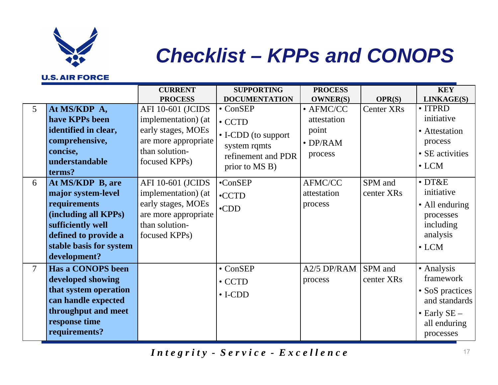

# *Checklist – KPPs and CONOPS*

#### **U.S. AIR FORCE**

|                |                          | <b>CURRENT</b>           | <b>SUPPORTING</b>    | <b>PROCESS</b>    |                   | <b>KEY</b>           |
|----------------|--------------------------|--------------------------|----------------------|-------------------|-------------------|----------------------|
|                |                          | <b>PROCESS</b>           | <b>DOCUMENTATION</b> | <b>OWNER(S)</b>   | <b>OPR(S)</b>     | LINKAGE(S)           |
| $\overline{5}$ | At MS/KDP A,             | <b>AFI 10-601 (JCIDS</b> | $\bullet$ ConSEP     | $\bullet$ AFMC/CC | <b>Center XRs</b> | • ITPRD              |
|                | have KPPs been           | implementation) (at      | $\bullet$ CCTD       | attestation       |                   | initiative           |
|                | identified in clear,     | early stages, MOEs       | • I-CDD (to support  | point             |                   | • Attestation        |
|                | comprehensive,           | are more appropriate     | system rqmts         | $\bullet$ DP/RAM  |                   | process              |
|                | concise,                 | than solution-           | refinement and PDR   | process           |                   | • SE activities      |
|                | understandable           | focused KPPs)            | prior to MS B)       |                   |                   | $\bullet$ LCM        |
|                | terms?                   |                          |                      |                   |                   |                      |
| 6              | At MS/KDP B, are         | <b>AFI 10-601 (JCIDS</b> | $\bullet$ ConSEP     | <b>AFMC/CC</b>    | SPM and           | $\cdot$ DT&E         |
|                | major system-level       | implementation) (at      | $\bullet$ CCTD       | attestation       | center XRs        | initiative           |
|                | requirements             | early stages, MOEs       | $\cdot$ CDD          | process           |                   | • All enduring       |
|                | (including all KPPs)     | are more appropriate     |                      |                   |                   | processes            |
|                | sufficiently well        | than solution-           |                      |                   |                   | including            |
|                | defined to provide a     | focused KPPs)            |                      |                   |                   | analysis             |
|                | stable basis for system  |                          |                      |                   |                   | $\bullet$ LCM        |
|                | development?             |                          |                      |                   |                   |                      |
| $\overline{7}$ | <b>Has a CONOPS been</b> |                          | $\bullet$ ConSEP     | A2/5 DP/RAM       | SPM and           | • Analysis           |
|                | developed showing        |                          | $\bullet$ CCTD       | process           | center XRs        | framework            |
|                | that system operation    |                          | $\bullet$ I-CDD      |                   |                   | • SoS practices      |
|                | can handle expected      |                          |                      |                   |                   | and standards        |
|                | throughput and meet      |                          |                      |                   |                   | $\bullet$ Early SE – |
|                | response time            |                          |                      |                   |                   | all enduring         |
|                | requirements?            |                          |                      |                   |                   | processes            |
|                |                          |                          |                      |                   |                   |                      |

*Integrity* - *Service* - *Excellence* 17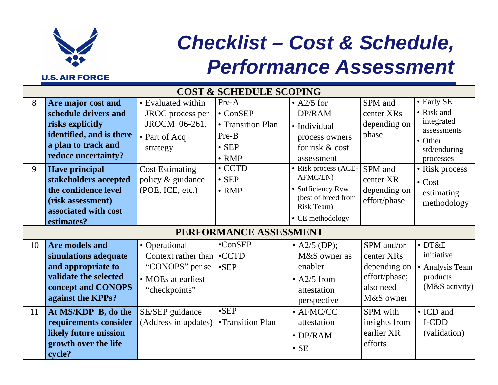

# *Checklist – Cost & Schedule, Performance Assessment*

|        | <b>COST &amp; SCHEDULE SCOPING</b>                                                                                                                                                                                 |                                                                                                                                                         |                                                                                                                                               |                                                                                                                                                          |                                                                                                    |                                                                                                                                                 |  |  |
|--------|--------------------------------------------------------------------------------------------------------------------------------------------------------------------------------------------------------------------|---------------------------------------------------------------------------------------------------------------------------------------------------------|-----------------------------------------------------------------------------------------------------------------------------------------------|----------------------------------------------------------------------------------------------------------------------------------------------------------|----------------------------------------------------------------------------------------------------|-------------------------------------------------------------------------------------------------------------------------------------------------|--|--|
| 8<br>9 | Are major cost and<br>schedule drivers and<br>risks explicitly<br>identified, and is there<br>a plan to track and<br>reduce uncertainty?<br><b>Have principal</b><br>stakeholders accepted<br>the confidence level | • Evaluated within<br>JROC process per<br>JROCM 06-261.<br>• Part of Acq<br>strategy<br><b>Cost Estimating</b><br>policy & guidance<br>(POE, ICE, etc.) | Pre-A<br>$\bullet$ ConSEP<br>• Transition Plan<br>Pre-B<br>$\bullet$ SEP<br>$\bullet$ RMP<br>$\bullet$ CCTD<br>$\bullet$ SEP<br>$\bullet$ RMP | $\bullet$ A2/5 for<br>DP/RAM<br>• Individual<br>process owners<br>for risk & cost<br>assessment<br>• Risk process (ACE-<br>AFMC/EN)<br>• Sufficiency Rvw | SPM and<br>center XR <sub>s</sub><br>depending on<br>phase<br>SPM and<br>center XR<br>depending on | • Early SE<br>• Risk and<br>integrated<br>assessments<br>• Other<br>std/enduring<br>processes<br>• Risk process<br>$\bullet$ Cost<br>estimating |  |  |
|        | (risk assessment)<br>associated with cost<br>estimates?                                                                                                                                                            |                                                                                                                                                         | PERFORMANCE ASSESSMENT                                                                                                                        | (best of breed from<br>Risk Team)<br>• CE methodology                                                                                                    | effort/phase                                                                                       | methodology                                                                                                                                     |  |  |
| 10     | <b>Are models and</b><br>simulations adequate<br>and appropriate to<br>validate the selected<br>concept and CONOPS<br>against the KPPs?                                                                            | • Operational<br>Context rather than<br>"CONOPS" per se<br>• MOEs at earliest<br>"checkpoints"                                                          | $\bullet$ ConSEP<br>$\bullet$ CCTD<br>$\cdot$ SEP                                                                                             | • A2/5 (DP);<br>M&S owner as<br>enabler<br>$\bullet$ A2/5 from<br>attestation<br>perspective                                                             | SPM and/or<br>center XRs<br>depending on<br>effort/phase;<br>also need<br>M&S owner                | $\bullet$ DT&E<br>initiative<br>• Analysis Team<br>products<br>(M&S activity)                                                                   |  |  |
| 11     | At MS/KDP B, do the<br>requirements consider<br>likely future mission<br>growth over the life<br>cycle?                                                                                                            | SE/SEP guidance<br>(Address in updates)                                                                                                                 | $\cdot$ SEP<br>•Transition Plan                                                                                                               | $\bullet$ AFMC/CC<br>attestation<br>$\bullet$ DP/RAM<br>$\cdot$ SE                                                                                       | SPM with<br>insights from<br>earlier XR<br>efforts                                                 | • ICD and<br>I-CDD<br>(validation)                                                                                                              |  |  |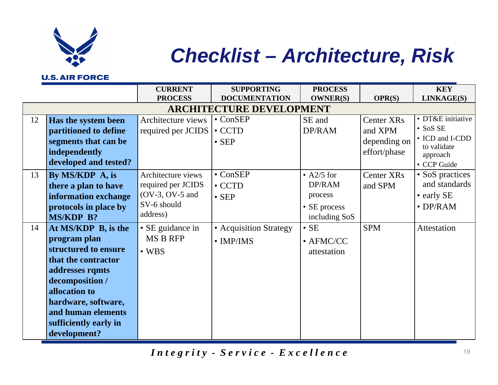

# *Checklist – Architecture, Risk*

#### **U.S. AIR FORCE**

|    |                       | <b>CURRENT</b>     | <b>SUPPORTING</b>               | <b>PROCESS</b>    |                        | <b>KEY</b>                     |
|----|-----------------------|--------------------|---------------------------------|-------------------|------------------------|--------------------------------|
|    |                       | <b>PROCESS</b>     | <b>DOCUMENTATION</b>            | <b>OWNER(S)</b>   | OPR(S)                 | LINKAGE(S)                     |
|    |                       |                    | <b>ARCHITECTURE DEVELOPMENT</b> |                   |                        |                                |
| 12 | Has the system been   | Architecture views | $\bullet$ ConSEP                | SE and            | Center XR <sub>s</sub> | • DT&E initiative              |
|    | partitioned to define | required per JCIDS | $\bullet$ CCTD                  | DP/RAM            | and XPM                | $\bullet$ SoS SE               |
|    | segments that can be  |                    | $\bullet$ SEP                   |                   | depending on           | • ICD and I-CDD<br>to validate |
|    | independently         |                    |                                 |                   | effort/phase           | approach                       |
|    | developed and tested? |                    |                                 |                   |                        | • CCP Guide                    |
| 13 | By MS/KDP A, is       | Architecture views | $\bullet$ ConSEP                | • $A2/5$ for      | <b>Center XRs</b>      | • SoS practices                |
|    | there a plan to have  | required per JCIDS | $\bullet$ CCTD                  | DP/RAM            | and SPM                | and standards                  |
|    | information exchange  | $(OV-3, OV-5 and$  | $\bullet$ SEP                   | process           |                        | • early SE                     |
|    | protocols in place by | SV-6 should        |                                 | • SE process      |                        | $\bullet$ DP/RAM               |
|    | MS/KDP B?             | address)           |                                 | including SoS     |                        |                                |
| 14 | At MS/KDP B, is the   | • SE guidance in   | • Acquisition Strategy          | $\bullet$ SE      | <b>SPM</b>             | Attestation                    |
|    | program plan          | <b>MS B RFP</b>    | $\bullet$ IMP/IMS               | $\bullet$ AFMC/CC |                        |                                |
|    | structured to ensure  | $\bullet$ WBS      |                                 | attestation       |                        |                                |
|    | that the contractor   |                    |                                 |                   |                        |                                |
|    | addresses rqmts       |                    |                                 |                   |                        |                                |
|    | decomposition /       |                    |                                 |                   |                        |                                |
|    | allocation to         |                    |                                 |                   |                        |                                |
|    | hardware, software,   |                    |                                 |                   |                        |                                |
|    | and human elements    |                    |                                 |                   |                        |                                |
|    | sufficiently early in |                    |                                 |                   |                        |                                |
|    | development?          |                    |                                 |                   |                        |                                |

*Integrity* - *Service* - *Excellence* 19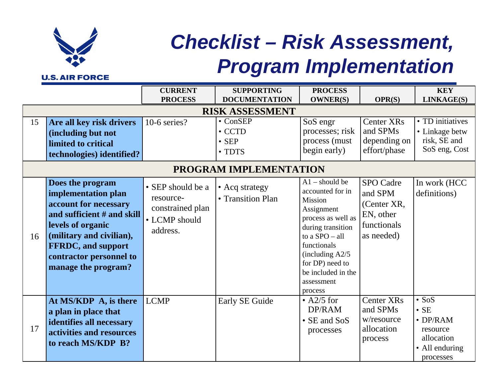

# *Checklist – Risk Assessment, Program Implementation*

|    |                                                                                                                                                                                                                                 | <b>CURRENT</b><br><b>PROCESS</b>                                                | <b>SUPPORTING</b><br><b>DOCUMENTATION</b>                           | <b>PROCESS</b><br><b>OWNER(S)</b>                                                                                                                                                                                                           | OPR(S)                                                                               | <b>KEY</b><br>LINKAGE(S)                                                                                 |  |  |
|----|---------------------------------------------------------------------------------------------------------------------------------------------------------------------------------------------------------------------------------|---------------------------------------------------------------------------------|---------------------------------------------------------------------|---------------------------------------------------------------------------------------------------------------------------------------------------------------------------------------------------------------------------------------------|--------------------------------------------------------------------------------------|----------------------------------------------------------------------------------------------------------|--|--|
|    |                                                                                                                                                                                                                                 |                                                                                 | <b>RISK ASSESSMENT</b>                                              |                                                                                                                                                                                                                                             |                                                                                      |                                                                                                          |  |  |
| 15 | Are all key risk drivers<br>(including but not<br>limited to critical<br>technologies) identified?                                                                                                                              | 10-6 series?                                                                    | $\bullet$ ConSEP<br>$\cdot$ CCTD<br>$\bullet$ SEP<br>$\bullet$ TDTS | SoS engr<br>processes; risk<br>process (must<br>begin early)                                                                                                                                                                                | Center XR <sub>s</sub><br>and SPMs<br>depending on<br>effort/phase                   | • TD initiatives<br>• Linkage betw<br>risk, SE and<br>SoS eng, Cost                                      |  |  |
|    | PROGRAM IMPLEMENTATION                                                                                                                                                                                                          |                                                                                 |                                                                     |                                                                                                                                                                                                                                             |                                                                                      |                                                                                                          |  |  |
| 16 | Does the program<br>implementation plan<br>account for necessary<br>and sufficient # and skill<br>levels of organic<br>(military and civilian),<br><b>FFRDC</b> , and support<br>contractor personnel to<br>manage the program? | • SEP should be a<br>resource-<br>constrained plan<br>• LCMP should<br>address. | • Acq strategy<br>• Transition Plan                                 | $A1$ – should be<br>accounted for in<br><b>Mission</b><br>Assignment<br>process as well as<br>during transition<br>to a $SPO - all$<br>functionals<br>(including $A2/5$ )<br>for DP) need to<br>be included in the<br>assessment<br>process | <b>SPO</b> Cadre<br>and SPM<br>(Center XR,<br>EN, other<br>functionals<br>as needed) | In work (HCC<br>definitions)                                                                             |  |  |
| 17 | At MS/KDP A, is there<br>a plan in place that<br>identifies all necessary<br>activities and resources<br>to reach MS/KDP B?                                                                                                     | <b>LCMP</b>                                                                     | Early SE Guide                                                      | $\bullet$ A2/5 for<br>DP/RAM<br>• SE and SoS<br>processes                                                                                                                                                                                   | <b>Center XRs</b><br>and SPMs<br>w/resource<br>allocation<br>process                 | $\bullet$ SoS<br>$\cdot$ SE<br>$\bullet$ DP/RAM<br>resource<br>allocation<br>• All enduring<br>processes |  |  |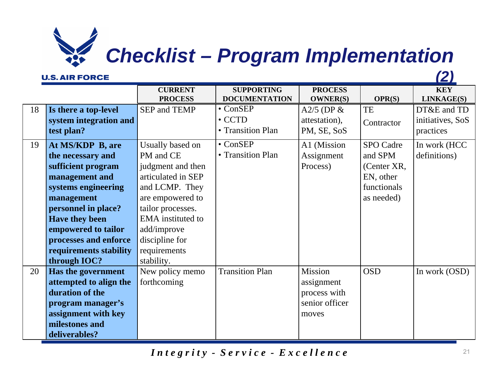# *Checklist – Program Implementation*

#### **U.S. AIR FORCE**

*(2)*

|    |                        | <b>CURRENT</b>           | <b>SUPPORTING</b>      | <b>PROCESS</b>  |                  | <b>KEY</b>       |
|----|------------------------|--------------------------|------------------------|-----------------|------------------|------------------|
|    |                        | <b>PROCESS</b>           | <b>DOCUMENTATION</b>   | <b>OWNER(S)</b> | OPR(S)           | LINKAGE(S)       |
| 18 | Is there a top-level   | SEP and TEMP             | $\bullet$ ConSEP       | A2/5 (DP $\&$   | TE               | DT&E and TD      |
|    | system integration and |                          | $\bullet$ CCTD         | attestation),   | Contractor       | initiatives, SoS |
|    | test plan?             |                          | • Transition Plan      | PM, SE, SoS     |                  | practices        |
| 19 | At MS/KDP B, are       | Usually based on         | $\bullet$ ConSEP       | A1 (Mission     | <b>SPO</b> Cadre | In work (HCC     |
|    | the necessary and      | PM and CE                | • Transition Plan      | Assignment      | and SPM          | definitions)     |
|    | sufficient program     | judgment and then        |                        | Process)        | (Center XR,      |                  |
|    | management and         | articulated in SEP       |                        |                 | EN, other        |                  |
|    | systems engineering    | and LCMP. They           |                        |                 | functionals      |                  |
|    | management             | are empowered to         |                        |                 | as needed)       |                  |
|    | personnel in place?    | tailor processes.        |                        |                 |                  |                  |
|    | <b>Have they been</b>  | <b>EMA</b> instituted to |                        |                 |                  |                  |
|    | empowered to tailor    | add/improve              |                        |                 |                  |                  |
|    | processes and enforce  | discipline for           |                        |                 |                  |                  |
|    | requirements stability | requirements             |                        |                 |                  |                  |
|    | through IOC?           | stability.               |                        |                 |                  |                  |
| 20 | Has the government     | New policy memo          | <b>Transition Plan</b> | Mission         | <b>OSD</b>       | In work (OSD)    |
|    | attempted to align the | forthcoming              |                        | assignment      |                  |                  |
|    | duration of the        |                          |                        | process with    |                  |                  |
|    | program manager's      |                          |                        | senior officer  |                  |                  |
|    | assignment with key    |                          |                        | moves           |                  |                  |
|    | milestones and         |                          |                        |                 |                  |                  |
|    | deliverables?          |                          |                        |                 |                  |                  |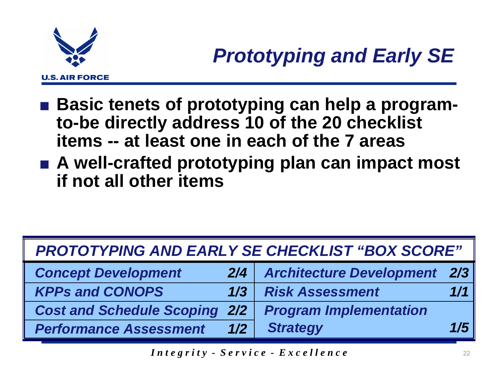

- Basic tenets of prototyping can help a program**to-be directly address 10 of the 20 checklist items -- at least one in each of the 7 areas**
- A well-crafted prototyping plan can impact most **if not all other items**

| <b>PROTOTYPING AND EARLY SE CHECKLIST "BOX SCORE"</b> |     |                                     |     |  |  |  |  |
|-------------------------------------------------------|-----|-------------------------------------|-----|--|--|--|--|
| <b>Concept Development</b>                            | 2/4 | <b>Architecture Development 2/3</b> |     |  |  |  |  |
| <b>KPPs and CONOPS</b>                                | 1/3 | <b>Risk Assessment</b>              | 1/1 |  |  |  |  |
| <b>Cost and Schedule Scoping 2/2</b>                  |     | <b>Program Implementation</b>       |     |  |  |  |  |
| <b>Performance Assessment</b>                         | 1/2 | <b>Strategy</b>                     | 1/5 |  |  |  |  |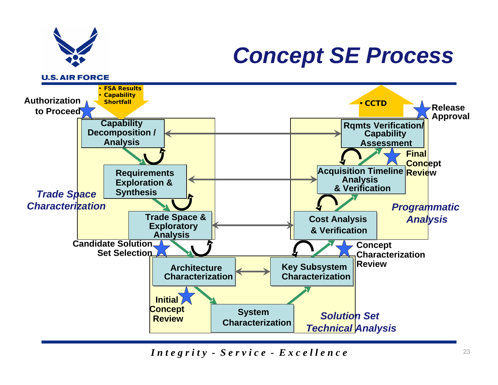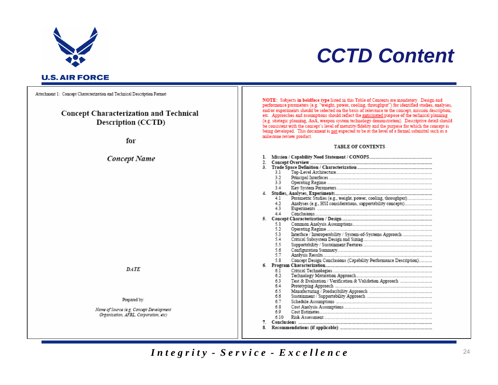

### *CCTD Content*

Attachment 1: Concept Characterization and Technical Description Format

#### **Concept Characterization and Technical** Description (CCTD)

for

#### **Concept Name**

 $DATE$ 

#### Prepared by:

Name of Source (e.g. Concept Development Organization, AFRL, Corporation, etc)

NOTE: Subjects in boldface type listed in this Table of Contents are mandatory. Design and performance parameters (e.g. "weight, power, cooling, throughput") for identified studies, analyses, and/or experiments should be selected on the basis of relevance to the concept, mission description, etc. Approaches and assumptions should reflect the <u>anticipated</u> purpose of the technical planning (e.g. strategic planning, AoA, weapon system technology demonstration). Descriptive detail should be consistent with the concept's level of maturity/fidelity and the purpose for which the concept is being developed. This document is not expected to be at the level of a formal submittal such as a milestone review product.

#### **TABLE OF CONTENTS**

| 1. |     |                                                                 |
|----|-----|-----------------------------------------------------------------|
| 2. |     |                                                                 |
| 3. |     |                                                                 |
|    | 31  |                                                                 |
|    | 32  |                                                                 |
|    | 33  |                                                                 |
|    | 34  |                                                                 |
| 4. |     |                                                                 |
|    | 4.1 |                                                                 |
|    | 42  |                                                                 |
|    | 43  |                                                                 |
|    | 44  |                                                                 |
| 5. |     |                                                                 |
|    | 5.1 |                                                                 |
|    | 52  |                                                                 |
|    | 53  |                                                                 |
|    | 54  |                                                                 |
|    | 55  |                                                                 |
|    | 5.6 |                                                                 |
|    | 57  |                                                                 |
|    | 5.8 | Concept Design Conclusions (Capability Performance Description) |
| 6. |     |                                                                 |
|    | 61  |                                                                 |
|    | 62  |                                                                 |
|    | 63  |                                                                 |
|    | 64  |                                                                 |
|    | 65  |                                                                 |
|    | 66  |                                                                 |
|    | 67  |                                                                 |
|    | 68  |                                                                 |
|    | 60  |                                                                 |
|    | 610 |                                                                 |
| 7. |     |                                                                 |
| 8. |     |                                                                 |

*Integrity - Service - Excellence* 24